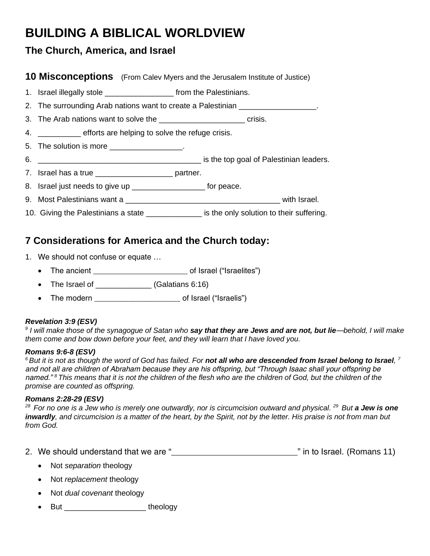# **BUILDING A BIBLICAL WORLDVIEW**

## **The Church, America, and Israel**

### **10 Misconceptions** (From Calev Myers and the Jerusalem Institute of Justice)

- 1. Israel illegally stole \_\_\_\_\_\_\_\_\_\_\_\_\_\_\_\_\_\_\_\_\_\_\_\_\_\_ from the Palestinians.
- 2. The surrounding Arab nations want to create a Palestinian **Example 2.**
- 3. The Arab nations want to solve the \_\_\_\_\_\_\_\_\_\_\_\_\_\_\_\_\_\_\_\_\_\_\_\_\_\_\_\_\_ crisis.

4. **Example 1** efforts are helping to solve the refuge crisis.

- 5. The solution is more
- 6. \_\_\_\_\_\_\_\_\_\_\_\_\_\_\_\_\_\_\_\_\_\_\_\_\_\_\_\_\_\_\_\_\_\_\_\_\_\_ is the top goal of Palestinian leaders.
- 7. Israel has a true \_\_\_\_\_\_\_\_\_\_\_\_\_\_\_\_\_\_\_\_\_\_\_\_ partner.
- 8. Israel just needs to give up \_\_\_\_\_\_\_\_\_\_\_\_\_\_\_\_\_\_\_\_\_ for peace.
- 9. Most Palestinians want a **Department and Secure 2018** with Israel.
- 10. Giving the Palestinians a state **with the unit of the only solution to their suffering.**

# **7 Considerations for America and the Church today:**

- 1. We should not confuse or equate …
	- The ancient example of Israel ("Israelites")
	- The Israel of \_\_\_\_\_\_\_\_\_\_\_\_\_\_\_ (Galatians 6:16)
	- The modern \_\_\_\_\_\_\_\_\_\_\_\_\_\_\_\_\_\_\_\_\_\_\_\_\_\_\_\_\_\_\_\_ of Israel ("Israelis")

### *Revelation 3:9 (ESV)*

*9 I will make those of the synagogue of Satan who say that they are Jews and are not, but lie—behold, I will make them come and bow down before your feet, and they will learn that I have loved you.*

#### *Romans 9:6-8 (ESV)*

 $^6$ But it is not as though the word of God has failed. For **not all who are descended from Israel belong to Israel**, <sup>7</sup> *and not all are children of Abraham because they are his offspring, but "Through Isaac shall your offspring be named." <sup>8</sup>This means that it is not the children of the flesh who are the children of God, but the children of the promise are counted as offspring.*

#### *Romans 2:28-29 (ESV)*

*<sup>28</sup>For no one is a Jew who is merely one outwardly, nor is circumcision outward and physical. <sup>29</sup>But a Jew is one inwardly, and circumcision is a matter of the heart, by the Spirit, not by the letter. His praise is not from man but from God.*

- 2. We should understand that we are " \_\_\_\_\_\_\_\_\_\_\_\_\_\_\_\_\_\_\_\_\_\_\_\_\_\_\_\_\_\_\_\_\_" in to Israel. (Romans 11)
	- Not *separation* theology
	- Not *replacement* theology
	- Not *dual covenant* theology
	- But theology